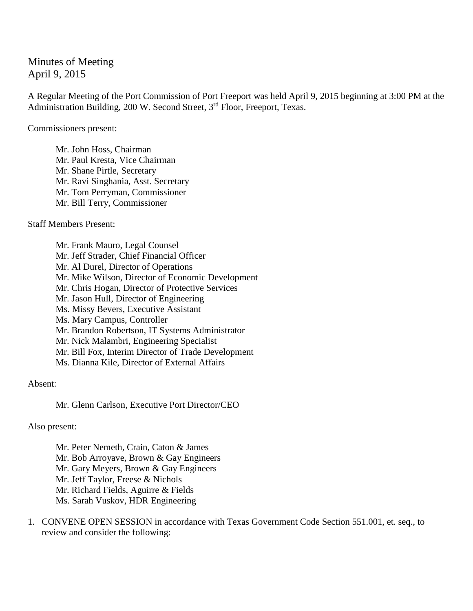## Minutes of Meeting April 9, 2015

A Regular Meeting of the Port Commission of Port Freeport was held April 9, 2015 beginning at 3:00 PM at the Administration Building, 200 W. Second Street, 3<sup>rd</sup> Floor, Freeport, Texas.

Commissioners present:

Mr. John Hoss, Chairman Mr. Paul Kresta, Vice Chairman Mr. Shane Pirtle, Secretary Mr. Ravi Singhania, Asst. Secretary Mr. Tom Perryman, Commissioner Mr. Bill Terry, Commissioner

Staff Members Present:

Mr. Frank Mauro, Legal Counsel Mr. Jeff Strader, Chief Financial Officer Mr. Al Durel, Director of Operations Mr. Mike Wilson, Director of Economic Development Mr. Chris Hogan, Director of Protective Services Mr. Jason Hull, Director of Engineering Ms. Missy Bevers, Executive Assistant Ms. Mary Campus, Controller Mr. Brandon Robertson, IT Systems Administrator Mr. Nick Malambri, Engineering Specialist Mr. Bill Fox, Interim Director of Trade Development Ms. Dianna Kile, Director of External Affairs

Absent:

Mr. Glenn Carlson, Executive Port Director/CEO

Also present:

Mr. Peter Nemeth, Crain, Caton & James Mr. Bob Arroyave, Brown & Gay Engineers Mr. Gary Meyers, Brown & Gay Engineers Mr. Jeff Taylor, Freese & Nichols Mr. Richard Fields, Aguirre & Fields Ms. Sarah Vuskov, HDR Engineering

1. CONVENE OPEN SESSION in accordance with Texas Government Code Section 551.001, et. seq., to review and consider the following: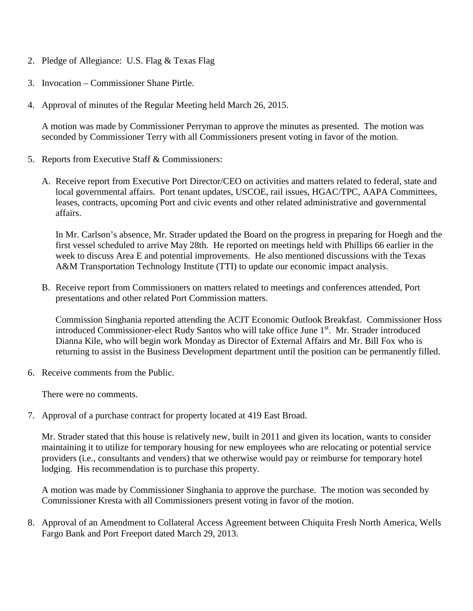- 2. Pledge of Allegiance: U.S. Flag & Texas Flag
- 3. Invocation Commissioner Shane Pirtle.
- 4. Approval of minutes of the Regular Meeting held March 26, 2015.

A motion was made by Commissioner Perryman to approve the minutes as presented. The motion was seconded by Commissioner Terry with all Commissioners present voting in favor of the motion.

- 5. Reports from Executive Staff & Commissioners:
	- A. Receive report from Executive Port Director/CEO on activities and matters related to federal, state and local governmental affairs. Port tenant updates, USCOE, rail issues, HGAC/TPC, AAPA Committees, leases, contracts, upcoming Port and civic events and other related administrative and governmental affairs.

In Mr. Carlson's absence, Mr. Strader updated the Board on the progress in preparing for Hoegh and the first vessel scheduled to arrive May 28th. He reported on meetings held with Phillips 66 earlier in the week to discuss Area E and potential improvements. He also mentioned discussions with the Texas A&M Transportation Technology Institute (TTI) to update our economic impact analysis.

B. Receive report from Commissioners on matters related to meetings and conferences attended, Port presentations and other related Port Commission matters.

Commission Singhania reported attending the ACIT Economic Outlook Breakfast. Commissioner Hoss introduced Commissioner-elect Rudy Santos who will take office June 1<sup>st</sup>. Mr. Strader introduced Dianna Kile, who will begin work Monday as Director of External Affairs and Mr. Bill Fox who is returning to assist in the Business Development department until the position can be permanently filled.

6. Receive comments from the Public.

There were no comments.

7. Approval of a purchase contract for property located at 419 East Broad.

Mr. Strader stated that this house is relatively new, built in 2011 and given its location, wants to consider maintaining it to utilize for temporary housing for new employees who are relocating or potential service providers (i.e., consultants and venders) that we otherwise would pay or reimburse for temporary hotel lodging. His recommendation is to purchase this property.

A motion was made by Commissioner Singhania to approve the purchase. The motion was seconded by Commissioner Kresta with all Commissioners present voting in favor of the motion.

8. Approval of an Amendment to Collateral Access Agreement between Chiquita Fresh North America, Wells Fargo Bank and Port Freeport dated March 29, 2013.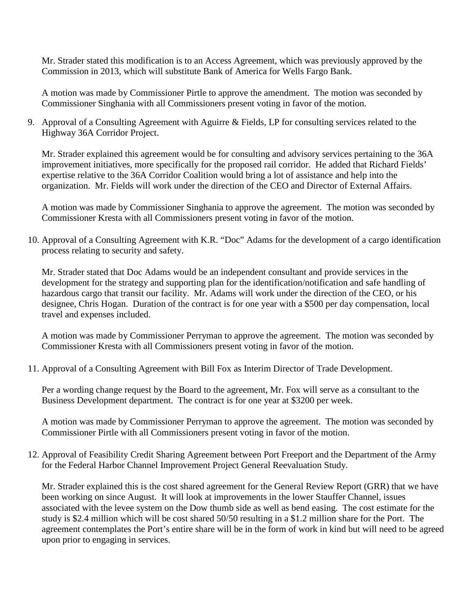Mr. Strader stated this modification is to an Access Agreement, which was previously approved by the Commission in 2013, which will substitute Bank of America for Wells Fargo Bank.

A motion was made by Commissioner Pirtle to approve the amendment. The motion was seconded by Commissioner Singhania with all Commissioners present voting in favor of the motion.

9. Approval of a Consulting Agreement with Aguirre & Fields, LP for consulting services related to the Highway 36A Corridor Project.

Mr. Strader explained this agreement would be for consulting and advisory services pertaining to the 36A improvement initiatives, more specifically for the proposed rail corridor. He added that Richard Fields' expertise relative to the 36A Corridor Coalition would bring a lot of assistance and help into the organization. Mr. Fields will work under the direction of the CEO and Director of External Affairs.

A motion was made by Commissioner Singhania to approve the agreement. The motion was seconded by Commissioner Kresta with all Commissioners present voting in favor of the motion.

10. Approval of a Consulting Agreement with K.R. "Doc" Adams for the development of a cargo identification process relating to security and safety.

Mr. Strader stated that Doc Adams would be an independent consultant and provide services in the development for the strategy and supporting plan for the identification/notification and safe handling of hazardous cargo that transit our facility. Mr. Adams will work under the direction of the CEO, or his designee, Chris Hogan. Duration of the contract is for one year with a \$500 per day compensation, local travel and expenses included.

A motion was made by Commissioner Perryman to approve the agreement. The motion was seconded by Commissioner Kresta with all Commissioners present voting in favor of the motion.

11. Approval of a Consulting Agreement with Bill Fox as Interim Director of Trade Development.

Per a wording change request by the Board to the agreement, Mr. Fox will serve as a consultant to the Business Development department. The contract is for one year at \$3200 per week.

A motion was made by Commissioner Perryman to approve the agreement. The motion was seconded by Commissioner Pirtle with all Commissioners present voting in favor of the motion.

12. Approval of Feasibility Credit Sharing Agreement between Port Freeport and the Department of the Army for the Federal Harbor Channel Improvement Project General Reevaluation Study.

Mr. Strader explained this is the cost shared agreement for the General Review Report (GRR) that we have been working on since August. It will look at improvements in the lower Stauffer Channel, issues associated with the levee system on the Dow thumb side as well as bend easing. The cost estimate for the study is \$2.4 million which will be cost shared 50/50 resulting in a \$1.2 million share for the Port. The agreement contemplates the Port's entire share will be in the form of work in kind but will need to be agreed upon prior to engaging in services.